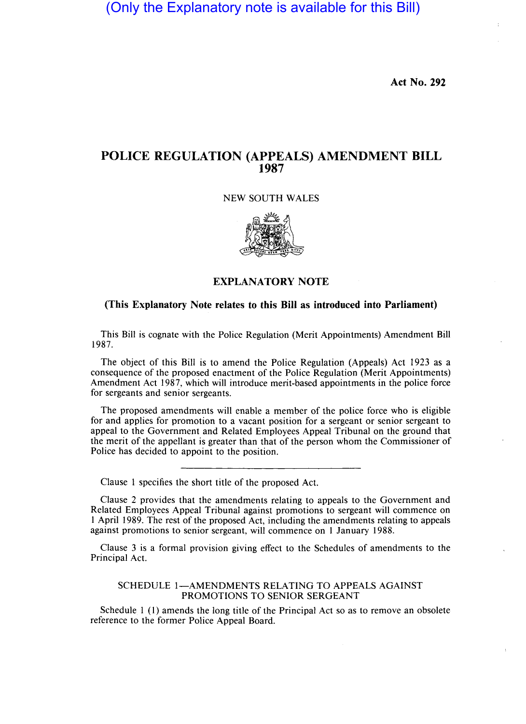(Only the Explanatory note is available for this Bill)

**Act No. 292** 

# **POLICE REGULATION (APPEALS) AMENDMENT BILL 1987**

## NEW SOUTH WALES



### **EXPLANATORY NOTE**

## **(This Explanatory Note relates to this Bill as introduced into Parliament)**

This Bill is cognate with the Police Regulation (Merit Appointments) Amendment Bill 1987.

The object of this Bill is to amend the Police Regulation (Appeals) Act 1923 as a consequence of the proposed enactment of the Police Regulation (Merit Appointments) Amendment Act 1987, which will introduce merit-based appointments in the police force for sergeants and senior sergeants.

The proposed amendments will enable a member of the police force who is eligible for and applies for promotion to a vacant position for a sergeant or senior sergeant to appeal to the Government and Related Employees Appeal Tribunal on the ground that the merit of the appellant is greater than that of the person whom the Commissioner of Police has decided to appoint to the position.

Clause I specifies the short title of the proposed Act.

Clause 2 provides that the amendments relating to appeals to the Government and Related Employees Appeal Tribunal against promotions to sergeant will commence on I April 1989. The rest of the proposed Act, including the amendments relating to appeals against promotions to senior sergeant, will commence on I January 1988.

Clause 3 is a formal provision giving effect to the Schedules of amendments to the Principal Act.

#### SCHEDULE 1-AMENDMENTS RELATING TO APPEALS AGAINST PROMOTIONS TO SENIOR SERGEANT

Schedule I (I) amends the long title of the Principal Act so as to remove an obsolete reference to the former Police Appeal Board.